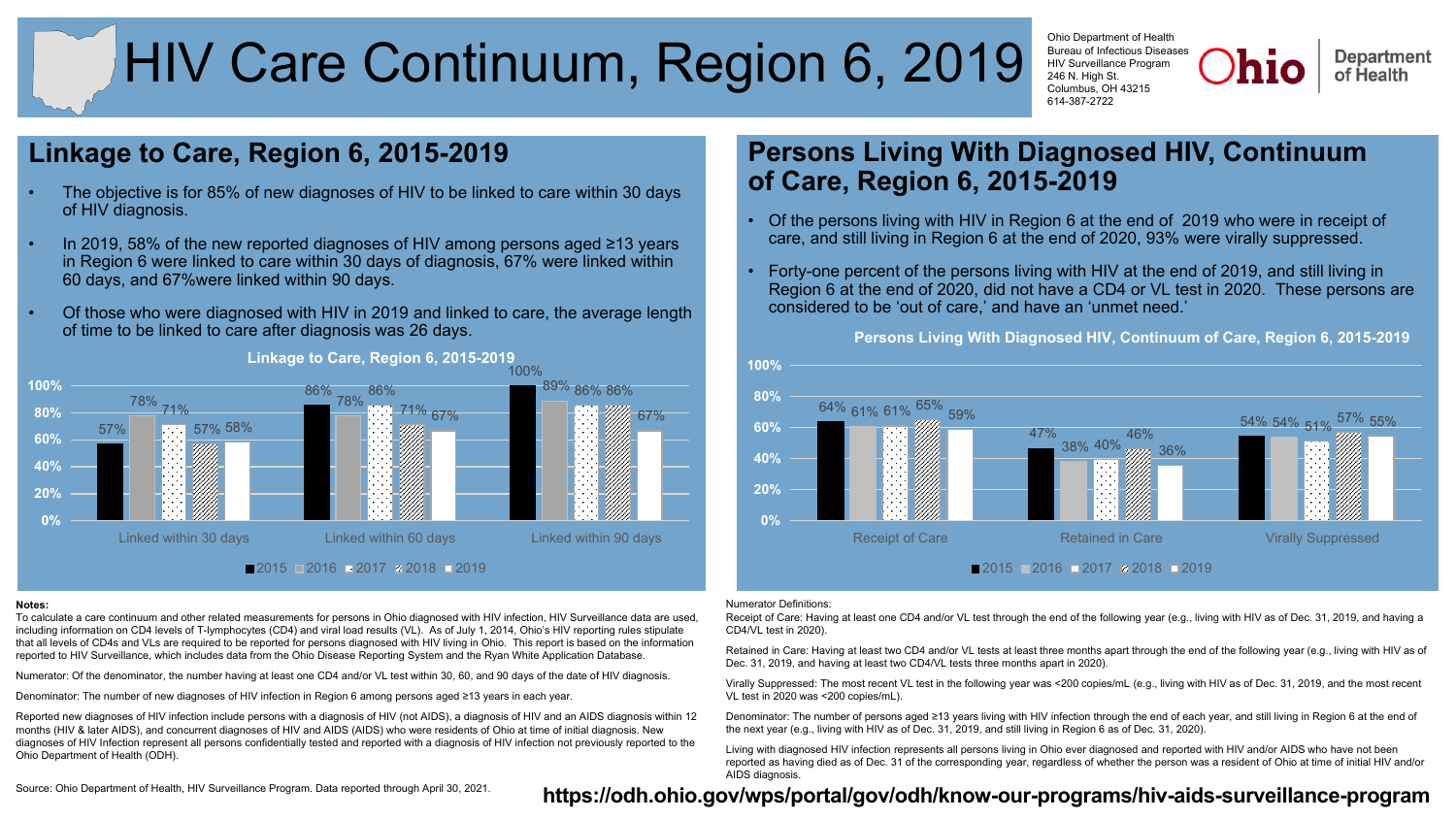# HIV Care Continuum, Region 6, 2019

Ohio Department of Health Bureau of Infectious Diseases HIV Surveillance Program 246 N. High St. Columbus, OH 43215 614-387-2722

**Department** of Health

# **Linkage to Care, Region 6, 2015-2019**

- The objective is for 85% of new diagnoses of HIV to be linked to care within 30 days of HIV diagnosis.
- In 2019, 58% of the new reported diagnoses of HIV among persons aged ≥13 years in Region 6 were linked to care within 30 days of diagnosis, 67% were linked within 60 days, and 67%were linked within 90 days.
- Of those who were diagnosed with HIV in 2019 and linked to care, the average length of time to be linked to care after diagnosis was 26 days.



## **Linkage to Care, Region 6, 2015-2019**

### **Notes:**

To calculate a care continuum and other related measurements for persons in Ohio diagnosed with HIV infection, HIV Surveillance data are used, including information on CD4 levels of T-lymphocytes (CD4) and viral load results (VL). As of July 1, 2014, Ohio's HIV reporting rules stipulate that all levels of CD4s and VLs are required to be reported for persons diagnosed with HIV living in Ohio. This report is based on the information reported to HIV Surveillance, which includes data from the Ohio Disease Reporting System and the Ryan White Application Database.

Numerator: Of the denominator, the number having at least one CD4 and/or VL test within 30, 60, and 90 days of the date of HIV diagnosis.

Denominator: The number of new diagnoses of HIV infection in Region 6 among persons aged ≥13 years in each year.

Reported new diagnoses of HIV infection include persons with a diagnosis of HIV (not AIDS), a diagnosis of HIV and an AIDS diagnosis within 12 months (HIV & later AIDS), and concurrent diagnoses of HIV and AIDS (AIDS) who were residents of Ohio at time of initial diagnosis. New diagnoses of HIV Infection represent all persons confidentially tested and reported with a diagnosis of HIV infection not previously reported to the Ohio Department of Health (ODH).

# **Persons Living With Diagnosed HIV, Continuum of Care, Region 6, 2015-2019**

- Of the persons living with HIV in Region 6 at the end of 2019 who were in receipt of care, and still living in Region 6 at the end of 2020, 93% were virally suppressed.
- Forty-one percent of the persons living with HIV at the end of 2019, and still living in Region 6 at the end of 2020, did not have a CD4 or VL test in 2020. These persons are considered to be 'out of care,' and have an 'unmet need.'

**Persons Living With Diagnosed HIV, Continuum of Care, Region 6, 2015-2019**



### Numerator Definitions:

Receipt of Care: Having at least one CD4 and/or VL test through the end of the following year (e.g., living with HIV as of Dec. 31, 2019, and having a CD4/VL test in 2020).

Retained in Care: Having at least two CD4 and/or VL tests at least three months apart through the end of the following year (e.g., living with HIV as of Dec. 31, 2019, and having at least two CD4/VL tests three months apart in 2020).

Virally Suppressed: The most recent VL test in the following year was <200 copies/mL (e.g., living with HIV as of Dec. 31, 2019, and the most recent VL test in 2020 was <200 copies/mL).

Denominator: The number of persons aged ≥13 years living with HIV infection through the end of each year, and still living in Region 6 at the end of the next year (e.g., living with HIV as of Dec. 31, 2019, and still living in Region 6 as of Dec. 31, 2020).

Living with diagnosed HIV infection represents all persons living in Ohio ever diagnosed and reported with HIV and/or AIDS who have not been reported as having died as of Dec. 31 of the corresponding year, regardless of whether the person was a resident of Ohio at time of initial HIV and/or AIDS diagnosis.

# Source: Ohio Department of Health, HIV Surveillance Program. Data reported through April 30, 2021. **https://odh.ohio.gov/wps/portal/gov/odh/know-our-programs/hiv-aids-surveillance-program**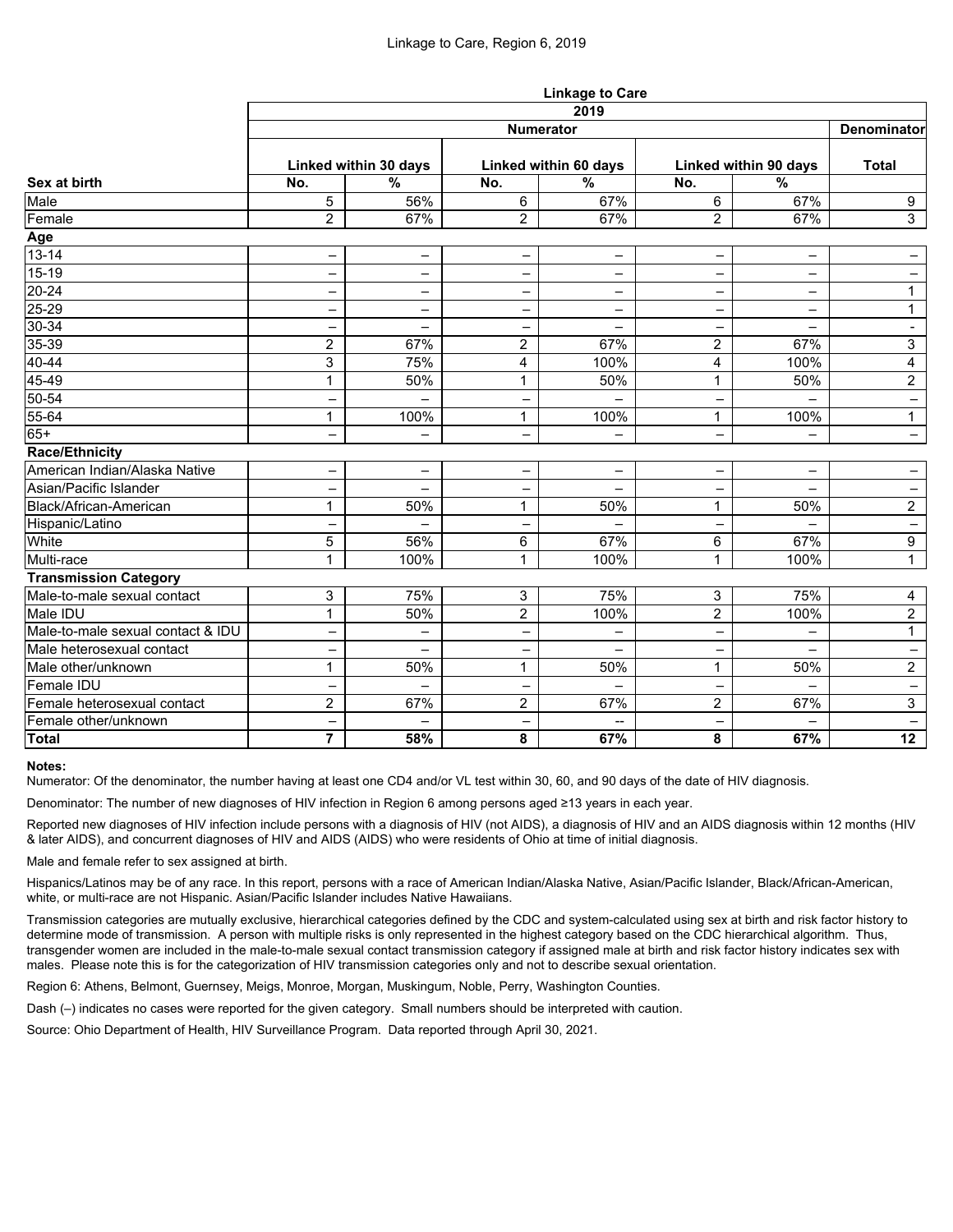|                                   | <b>Linkage to Care</b>   |                          |                          |                                                     |                          |                          |                          |  |  |  |
|-----------------------------------|--------------------------|--------------------------|--------------------------|-----------------------------------------------------|--------------------------|--------------------------|--------------------------|--|--|--|
| Sex at birth                      | 2019<br>Denominator      |                          |                          |                                                     |                          |                          |                          |  |  |  |
|                                   | <b>Numerator</b>         |                          |                          |                                                     |                          |                          |                          |  |  |  |
|                                   | Linked within 30 days    |                          | Linked within 60 days    |                                                     | Linked within 90 days    |                          | <b>Total</b>             |  |  |  |
|                                   | No.                      | $\frac{0}{0}$            | No.                      | $\overline{\frac{9}{6}}$                            | No.                      | $\overline{\frac{9}{6}}$ |                          |  |  |  |
| Male                              | 5                        | 56%                      | 6                        | 67%                                                 | 6                        | 67%                      | 9                        |  |  |  |
| Female                            | $\overline{2}$           | 67%                      | $\overline{2}$           | 67%                                                 | $\overline{2}$           | 67%                      | $\mathbf{3}$             |  |  |  |
| Age                               |                          |                          |                          |                                                     |                          |                          |                          |  |  |  |
| $13 - 14$                         | -                        | $\qquad \qquad -$        | $\qquad \qquad -$        | -                                                   | -                        | -                        |                          |  |  |  |
| $15-19$                           | -                        | -                        | $\overline{\phantom{0}}$ | -                                                   | -                        | -                        | -                        |  |  |  |
| $20 - 24$                         |                          | -                        |                          | -                                                   | —                        | -                        | $\mathbf 1$              |  |  |  |
| $25 - 29$                         | -                        | -                        | $\overline{\phantom{0}}$ | -                                                   | —                        | -                        | $\mathbf{1}$             |  |  |  |
| $30 - 34$                         | -                        | $\overline{\phantom{0}}$ |                          | -                                                   | -                        | -                        | $\overline{\phantom{a}}$ |  |  |  |
| $35 - 39$                         | $\overline{2}$           | 67%                      | $\overline{2}$           | 67%                                                 | $\overline{2}$           | 67%                      | $\mathbf{3}$             |  |  |  |
| 40-44                             | 3                        | 75%                      | 4                        | 100%                                                | 4                        | 100%                     | 4                        |  |  |  |
| 45-49                             | 1                        | 50%                      | 1                        | 50%                                                 | 1                        | 50%                      | $\overline{2}$           |  |  |  |
| $50 - 54$                         | -                        | -                        |                          |                                                     | $\qquad \qquad -$        |                          | $\qquad \qquad -$        |  |  |  |
| 55-64                             | 1                        | 100%                     | 1                        | 100%                                                | 1                        | 100%                     | $\mathbf 1$              |  |  |  |
| $65+$                             |                          | $\overline{\phantom{0}}$ |                          | -                                                   | -                        | -                        | -                        |  |  |  |
| <b>Race/Ethnicity</b>             |                          |                          |                          |                                                     |                          |                          |                          |  |  |  |
| American Indian/Alaska Native     | $\overline{\phantom{0}}$ | $\qquad \qquad -$        | -                        | $\overline{\phantom{0}}$                            | -                        | $\overline{\phantom{0}}$ |                          |  |  |  |
| Asian/Pacific Islander            | -                        |                          |                          |                                                     | —                        |                          | -                        |  |  |  |
| Black/African-American            |                          | 50%                      |                          | 50%                                                 | 1                        | 50%                      | $\overline{2}$           |  |  |  |
| Hispanic/Latino                   | -                        | $\overline{\phantom{0}}$ | -                        | -                                                   | $\overline{\phantom{0}}$ | $\overline{\phantom{0}}$ | $\overline{\phantom{a}}$ |  |  |  |
| White                             | 5                        | 56%                      | 6                        | 67%                                                 | 6                        | 67%                      | 9                        |  |  |  |
| Multi-race                        | 1                        | 100%                     | 1                        | 100%                                                | 1                        | 100%                     | $\mathbf{1}$             |  |  |  |
| <b>Transmission Category</b>      |                          |                          |                          |                                                     |                          |                          |                          |  |  |  |
| Male-to-male sexual contact       | 3                        | 75%                      | 3                        | 75%                                                 | 3                        | 75%                      | $\overline{4}$           |  |  |  |
| Male IDU                          | 1                        | 50%                      | $\overline{2}$           | 100%                                                | $\overline{2}$           | 100%                     | $\overline{2}$           |  |  |  |
| Male-to-male sexual contact & IDU |                          | -                        |                          | -                                                   | —                        | -                        | $\mathbf{1}$             |  |  |  |
| Male heterosexual contact         |                          |                          |                          |                                                     |                          |                          |                          |  |  |  |
| Male other/unknown                | 1                        | 50%                      | 1                        | 50%                                                 | 1                        | 50%                      | $\overline{2}$           |  |  |  |
| Female IDU                        | —                        | $\qquad \qquad -$        |                          | -                                                   | $\qquad \qquad -$        | -                        | $\qquad \qquad -$        |  |  |  |
| Female heterosexual contact       | $\overline{2}$           | 67%                      | $\overline{2}$           | 67%                                                 | $\overline{2}$           | 67%                      | 3 <sup>1</sup>           |  |  |  |
| Female other/unknown              | —                        | $\qquad \qquad -$        |                          | $\hspace{0.05cm} -\hspace{0.05cm} -\hspace{0.05cm}$ | $\overline{\phantom{m}}$ | $\overline{\phantom{0}}$ | $\qquad \qquad -$        |  |  |  |
| Total                             | $\overline{7}$           | 58%                      | 8                        | 67%                                                 | 8                        | 67%                      | 12                       |  |  |  |

### **Notes:**

Numerator: Of the denominator, the number having at least one CD4 and/or VL test within 30, 60, and 90 days of the date of HIV diagnosis.

Denominator: The number of new diagnoses of HIV infection in Region 6 among persons aged ≥13 years in each year.

Reported new diagnoses of HIV infection include persons with a diagnosis of HIV (not AIDS), a diagnosis of HIV and an AIDS diagnosis within 12 months (HIV & later AIDS), and concurrent diagnoses of HIV and AIDS (AIDS) who were residents of Ohio at time of initial diagnosis.

Male and female refer to sex assigned at birth.

Hispanics/Latinos may be of any race. In this report, persons with a race of American Indian/Alaska Native, Asian/Pacific Islander, Black/African-American, white, or multi-race are not Hispanic. Asian/Pacific Islander includes Native Hawaiians.

Transmission categories are mutually exclusive, hierarchical categories defined by the CDC and system-calculated using sex at birth and risk factor history to determine mode of transmission. A person with multiple risks is only represented in the highest category based on the CDC hierarchical algorithm. Thus, transgender women are included in the male-to-male sexual contact transmission category if assigned male at birth and risk factor history indicates sex with males. Please note this is for the categorization of HIV transmission categories only and not to describe sexual orientation.

Region 6: Athens, Belmont, Guernsey, Meigs, Monroe, Morgan, Muskingum, Noble, Perry, Washington Counties.

Dash (–) indicates no cases were reported for the given category. Small numbers should be interpreted with caution.

Source: Ohio Department of Health, HIV Surveillance Program. Data reported through April 30, 2021.